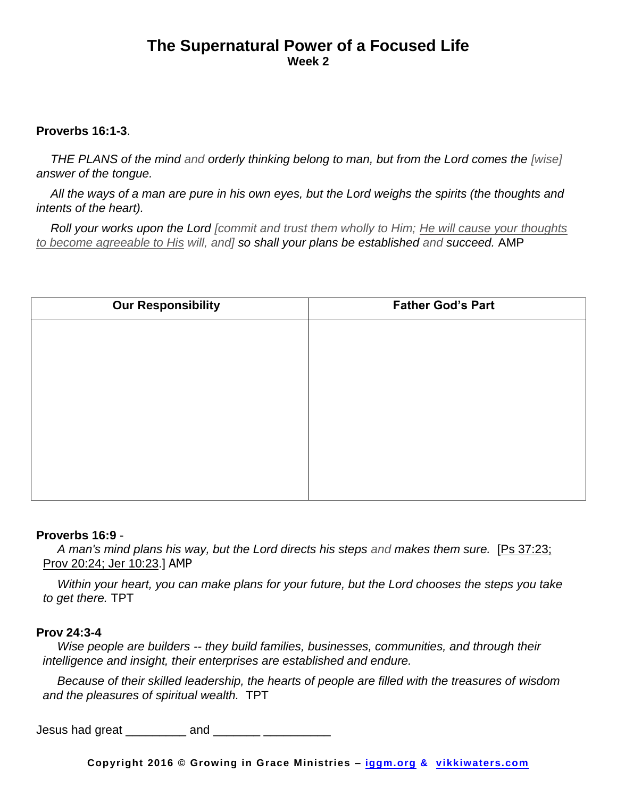## **The Supernatural Power of a Focused Life Week 2**

## **Proverbs 16:1-3**.

*THE PLANS of the mind and orderly thinking belong to man, but from the Lord comes the [wise] answer of the tongue.* 

*All the ways of a man are pure in his own eyes, but the Lord weighs the spirits (the thoughts and intents of the heart).* 

*Roll your works upon the Lord [commit and trust them wholly to Him; He will cause your thoughts to become agreeable to His will, and] so shall your plans be established and succeed.* AMP

| <b>Our Responsibility</b> | <b>Father God's Part</b> |
|---------------------------|--------------------------|
|                           |                          |
|                           |                          |
|                           |                          |
|                           |                          |
|                           |                          |
|                           |                          |
|                           |                          |
|                           |                          |

## **Proverbs 16:9** -

*A man's mind plans his way, but the Lord directs his steps and makes them sure.* [Ps 37:23; Prov 20:24; Jer 10:23.] AMP

*Within your heart, you can make plans for your future, but the Lord chooses the steps you take to get there.* TPT

## **Prov 24:3-4**

*Wise people are builders -- they build families, businesses, communities, and through their intelligence and insight, their enterprises are established and endure.* 

*Because of their skilled leadership, the hearts of people are filled with the treasures of wisdom and the pleasures of spiritual wealth.* TPT

Jesus had great  $\frac{1}{2}$  and  $\frac{1}{2}$  and  $\frac{1}{2}$  and  $\frac{1}{2}$  and  $\frac{1}{2}$  and  $\frac{1}{2}$  and  $\frac{1}{2}$  and  $\frac{1}{2}$  and  $\frac{1}{2}$  and  $\frac{1}{2}$  and  $\frac{1}{2}$  and  $\frac{1}{2}$  and  $\frac{1}{2}$  and  $\frac{1}{2}$  and  $\frac{1}{2}$ 

**Copyright 2016 © Growing in Grace Ministries – iggm.org & vikkiwaters.com**